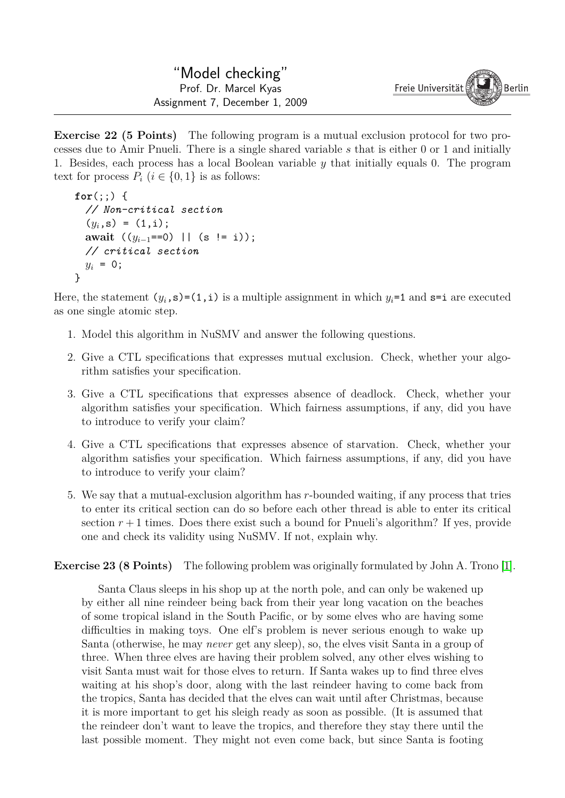**Exercise 22 (5 Points)** The following program is a mutual exclusion protocol for two processes due to Amir Pnueli. There is a single shared variable *s* that is either 0 or 1 and initially 1. Besides, each process has a local Boolean variable *y* that initially equals 0. The program text for process  $P_i$  ( $i \in \{0,1\}$ ) is as follows:

```
for(:) {
 // Non-critical section
  (y_i, s) = (1,i);await ((yi−1==0) || (s != i));
 // critical section
 y_i = 0;
}
```
Here, the statement  $(y_i, s) = (1, i)$  is a multiple assignment in which  $y_i = 1$  and  $s = i$  are executed as one single atomic step.

- 1. Model this algorithm in NuSMV and answer the following questions.
- 2. Give a CTL specifications that expresses mutual exclusion. Check, whether your algorithm satisfies your specification.
- 3. Give a CTL specifications that expresses absence of deadlock. Check, whether your algorithm satisfies your specification. Which fairness assumptions, if any, did you have to introduce to verify your claim?
- 4. Give a CTL specifications that expresses absence of starvation. Check, whether your algorithm satisfies your specification. Which fairness assumptions, if any, did you have to introduce to verify your claim?
- 5. We say that a mutual-exclusion algorithm has *r*-bounded waiting, if any process that tries to enter its critical section can do so before each other thread is able to enter its critical section  $r + 1$  times. Does there exist such a bound for Pnueli's algorithm? If yes, provide one and check its validity using NuSMV. If not, explain why.

**Exercise 23 (8 Points)** The following problem was originally formulated by John A. Trono [\[1\]](#page-1-0).

Santa Claus sleeps in his shop up at the north pole, and can only be wakened up by either all nine reindeer being back from their year long vacation on the beaches of some tropical island in the South Pacific, or by some elves who are having some difficulties in making toys. One elf's problem is never serious enough to wake up Santa (otherwise, he may *never* get any sleep), so, the elves visit Santa in a group of three. When three elves are having their problem solved, any other elves wishing to visit Santa must wait for those elves to return. If Santa wakes up to find three elves waiting at his shop's door, along with the last reindeer having to come back from the tropics, Santa has decided that the elves can wait until after Christmas, because it is more important to get his sleigh ready as soon as possible. (It is assumed that the reindeer don't want to leave the tropics, and therefore they stay there until the last possible moment. They might not even come back, but since Santa is footing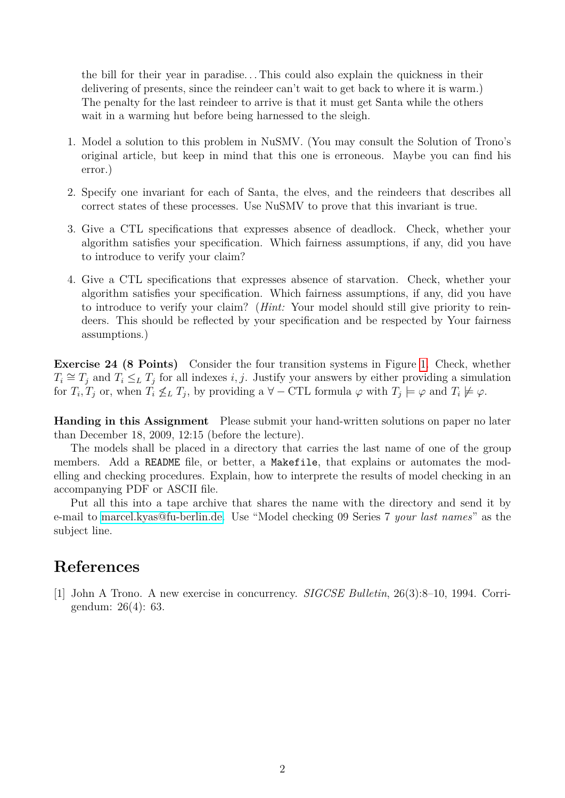the bill for their year in paradise. . . This could also explain the quickness in their delivering of presents, since the reindeer can't wait to get back to where it is warm.) The penalty for the last reindeer to arrive is that it must get Santa while the others wait in a warming hut before being harnessed to the sleigh.

- 1. Model a solution to this problem in NuSMV. (You may consult the Solution of Trono's original article, but keep in mind that this one is erroneous. Maybe you can find his error.)
- 2. Specify one invariant for each of Santa, the elves, and the reindeers that describes all correct states of these processes. Use NuSMV to prove that this invariant is true.
- 3. Give a CTL specifications that expresses absence of deadlock. Check, whether your algorithm satisfies your specification. Which fairness assumptions, if any, did you have to introduce to verify your claim?
- 4. Give a CTL specifications that expresses absence of starvation. Check, whether your algorithm satisfies your specification. Which fairness assumptions, if any, did you have to introduce to verify your claim? (*Hint:* Your model should still give priority to reindeers. This should be reflected by your specification and be respected by Your fairness assumptions.)

**Exercise 24 (8 Points)** Consider the four transition systems in Figure [1.](#page-2-0) Check, whether  $T_i \cong T_j$  and  $T_i \leq_L T_j$  for all indexes *i, j.* Justify your answers by either providing a simulation for  $T_i, T_j$  or, when  $T_i \nleq_L T_j$ , by providing a  $\forall -\text{CTL}$  formula  $\varphi$  with  $T_j \models \varphi$  and  $T_i \not\models \varphi$ .

**Handing in this Assignment** Please submit your hand-written solutions on paper no later than December 18, 2009, 12:15 (before the lecture).

The models shall be placed in a directory that carries the last name of one of the group members. Add a README file, or better, a Makefile, that explains or automates the modelling and checking procedures. Explain, how to interprete the results of model checking in an accompanying PDF or ASCII file.

Put all this into a tape archive that shares the name with the directory and send it by e-mail to [marcel.kyas@fu-berlin.de.](mailto:marcel.kyas@fu-berlin.de) Use "Model checking 09 Series 7 *your last names*" as the subject line.

## **References**

<span id="page-1-0"></span>[1] John A Trono. A new exercise in concurrency. *SIGCSE Bulletin*, 26(3):8–10, 1994. Corrigendum: 26(4): 63.